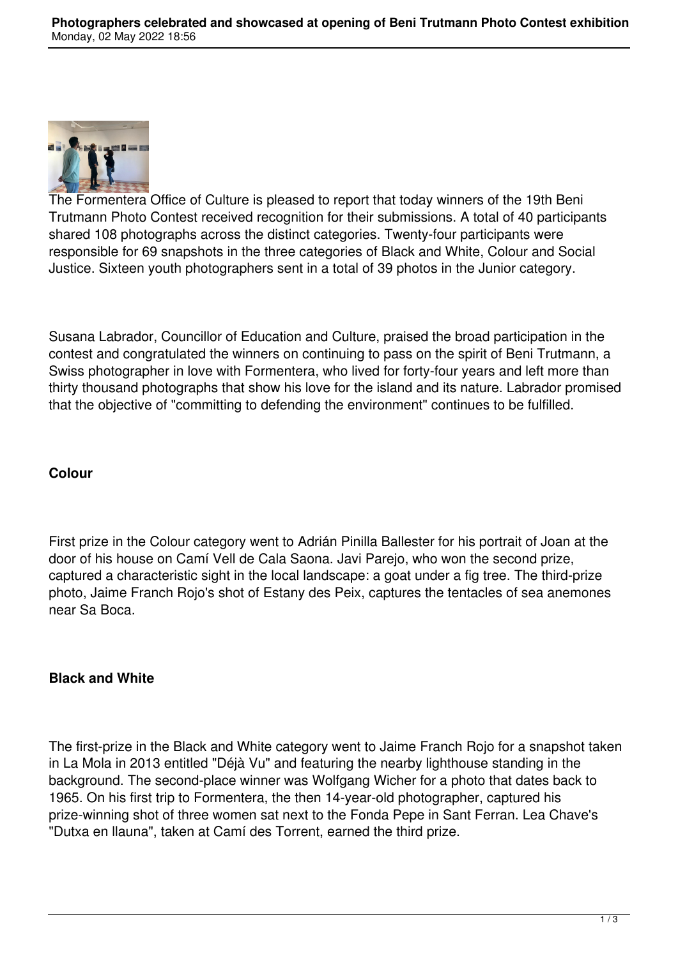

The Formentera Office of Culture is pleased to report that today winners of the 19th Beni Trutmann Photo Contest received recognition for their submissions. A total of 40 participants shared 108 photographs across the distinct categories. Twenty-four participants were responsible for 69 snapshots in the three categories of Black and White, Colour and Social Justice. Sixteen youth photographers sent in a total of 39 photos in the Junior category.

Susana Labrador, Councillor of Education and Culture, praised the broad participation in the contest and congratulated the winners on continuing to pass on the spirit of Beni Trutmann, a Swiss photographer in love with Formentera, who lived for forty-four years and left more than thirty thousand photographs that show his love for the island and its nature. Labrador promised that the objective of "committing to defending the environment" continues to be fulfilled.

# **Colour**

First prize in the Colour category went to Adrián Pinilla Ballester for his portrait of Joan at the door of his house on Camí Vell de Cala Saona. Javi Parejo, who won the second prize, captured a characteristic sight in the local landscape: a goat under a fig tree. The third-prize photo, Jaime Franch Rojo's shot of Estany des Peix, captures the tentacles of sea anemones near Sa Boca.

### **Black and White**

The first-prize in the Black and White category went to Jaime Franch Rojo for a snapshot taken in La Mola in 2013 entitled "Déjà Vu" and featuring the nearby lighthouse standing in the background. The second-place winner was Wolfgang Wicher for a photo that dates back to 1965. On his first trip to Formentera, the then 14-year-old photographer, captured his prize-winning shot of three women sat next to the Fonda Pepe in Sant Ferran. Lea Chave's "Dutxa en llauna", taken at Camí des Torrent, earned the third prize.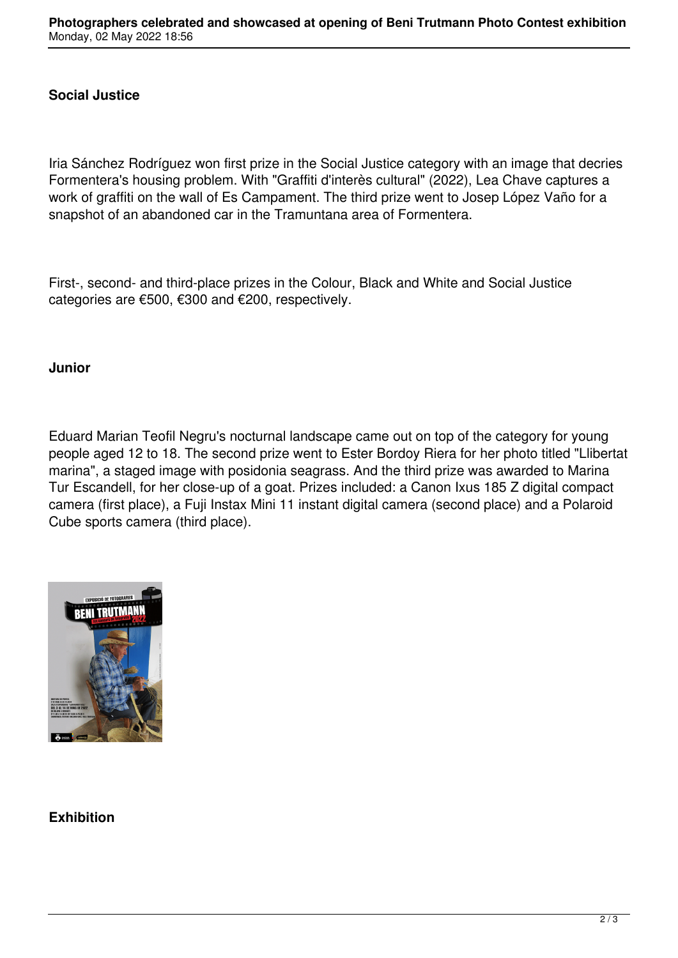### **Social Justice**

Iria Sánchez Rodríguez won first prize in the Social Justice category with an image that decries Formentera's housing problem. With "Graffiti d'interès cultural" (2022), Lea Chave captures a work of graffiti on the wall of Es Campament. The third prize went to Josep López Vaño for a snapshot of an abandoned car in the Tramuntana area of Formentera.

First-, second- and third-place prizes in the Colour, Black and White and Social Justice categories are €500, €300 and €200, respectively.

#### **Junior**

Eduard Marian Teofil Negru's nocturnal landscape came out on top of the category for young people aged 12 to 18. The second prize went to Ester Bordoy Riera for her photo titled "Llibertat marina", a staged image with posidonia seagrass. And the third prize was awarded to Marina Tur Escandell, for her close-up of a goat. Prizes included: a Canon Ixus 185 Z digital compact camera (first place), a Fuji Instax Mini 11 instant digital camera (second place) and a Polaroid Cube sports camera (third place).



# **Exhibition**